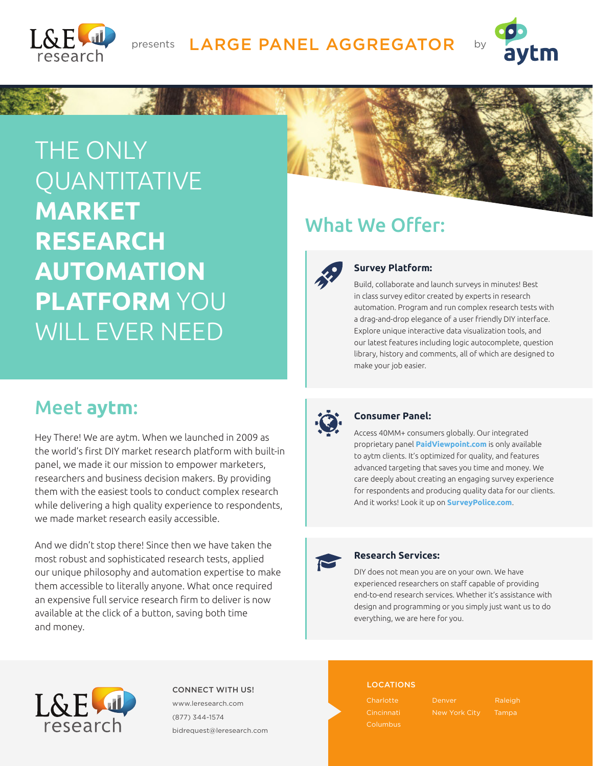

## presents LARGE PANEL AGGREGATOR by



THE ONLY **QUANTITATIVE MARKET RESEARCH AUTOMATION PLATFORM** YOU WILL EVER NEED





### **Survey Platform:**

Build, collaborate and launch surveys in minutes! Best in class survey editor created by experts in research automation. Program and run complex research tests with a drag-and-drop elegance of a user friendly DIY interface. Explore unique interactive data visualization tools, and our latest features including logic autocomplete, question library, history and comments, all of which are designed to make your job easier.

## Meet **aytm**:

Hey There! We are aytm. When we launched in 2009 as the world's first DIY market research platform with built-in panel, we made it our mission to empower marketers, researchers and business decision makers. By providing them with the easiest tools to conduct complex research while delivering a high quality experience to respondents, we made market research easily accessible.

And we didn't stop there! Since then we have taken the most robust and sophisticated research tests, applied our unique philosophy and automation expertise to make them accessible to literally anyone. What once required an expensive full service research firm to deliver is now available at the click of a button, saving both time and money.



#### **Consumer Panel:**

Access 40MM+ consumers globally. Our integrated proprietary panel **PaidViewpoint.com** is only available to aytm clients. It's optimized for quality, and features advanced targeting that saves you time and money. We care deeply about creating an engaging survey experience for respondents and producing quality data for our clients. And it works! Look it up on **SurveyPolice.com**.



#### **Research Services:**

DIY does not mean you are on your own. We have experienced researchers on staff capable of providing end-to-end research services. Whether it's assistance with design and programming or you simply just want us to do everything, we are here for you.



LOCATIONS CONNECT WITH US! www.leresearch.com (877) 344-1574 bidrequest@leresearch.com

**Charlotte** Cincinnati Denver